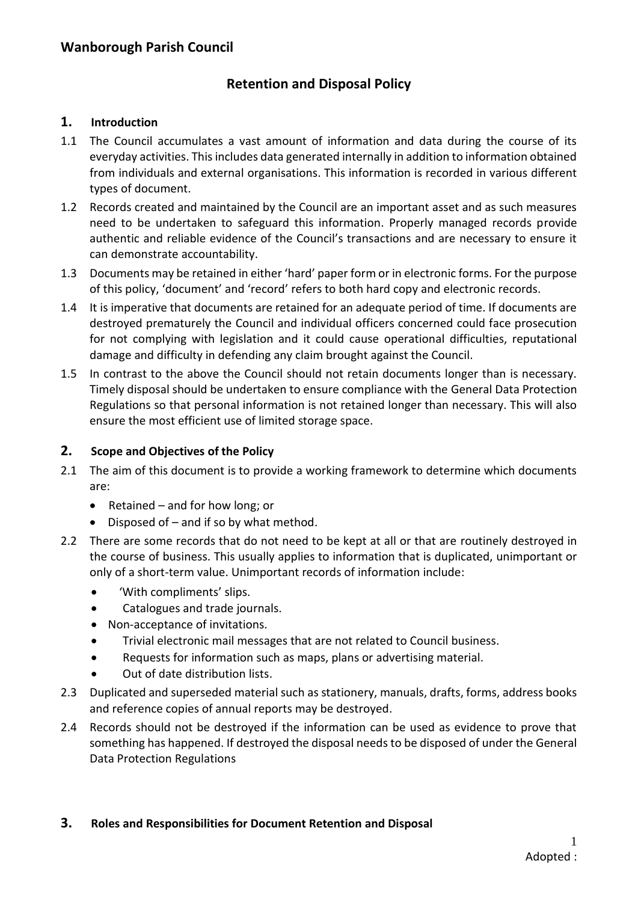# **Retention and Disposal Policy**

#### **1. Introduction**

- 1.1 The Council accumulates a vast amount of information and data during the course of its everyday activities. This includes data generated internally in addition to information obtained from individuals and external organisations. This information is recorded in various different types of document.
- 1.2 Records created and maintained by the Council are an important asset and as such measures need to be undertaken to safeguard this information. Properly managed records provide authentic and reliable evidence of the Council's transactions and are necessary to ensure it can demonstrate accountability.
- 1.3 Documents may be retained in either 'hard' paper form or in electronic forms. For the purpose of this policy, 'document' and 'record' refers to both hard copy and electronic records.
- 1.4 It is imperative that documents are retained for an adequate period of time. If documents are destroyed prematurely the Council and individual officers concerned could face prosecution for not complying with legislation and it could cause operational difficulties, reputational damage and difficulty in defending any claim brought against the Council.
- 1.5 In contrast to the above the Council should not retain documents longer than is necessary. Timely disposal should be undertaken to ensure compliance with the General Data Protection Regulations so that personal information is not retained longer than necessary. This will also ensure the most efficient use of limited storage space.

#### **2. Scope and Objectives of the Policy**

- 2.1 The aim of this document is to provide a working framework to determine which documents are:
	- Retained and for how long; or
	- Disposed of and if so by what method.
- 2.2 There are some records that do not need to be kept at all or that are routinely destroyed in the course of business. This usually applies to information that is duplicated, unimportant or only of a short-term value. Unimportant records of information include:
	- 'With compliments' slips.
	- Catalogues and trade journals.
	- Non-acceptance of invitations.
	- Trivial electronic mail messages that are not related to Council business.
	- Requests for information such as maps, plans or advertising material.
	- Out of date distribution lists.
- 2.3 Duplicated and superseded material such as stationery, manuals, drafts, forms, address books and reference copies of annual reports may be destroyed.
- 2.4 Records should not be destroyed if the information can be used as evidence to prove that something has happened. If destroyed the disposal needs to be disposed of under the General Data Protection Regulations

#### **3. Roles and Responsibilities for Document Retention and Disposal**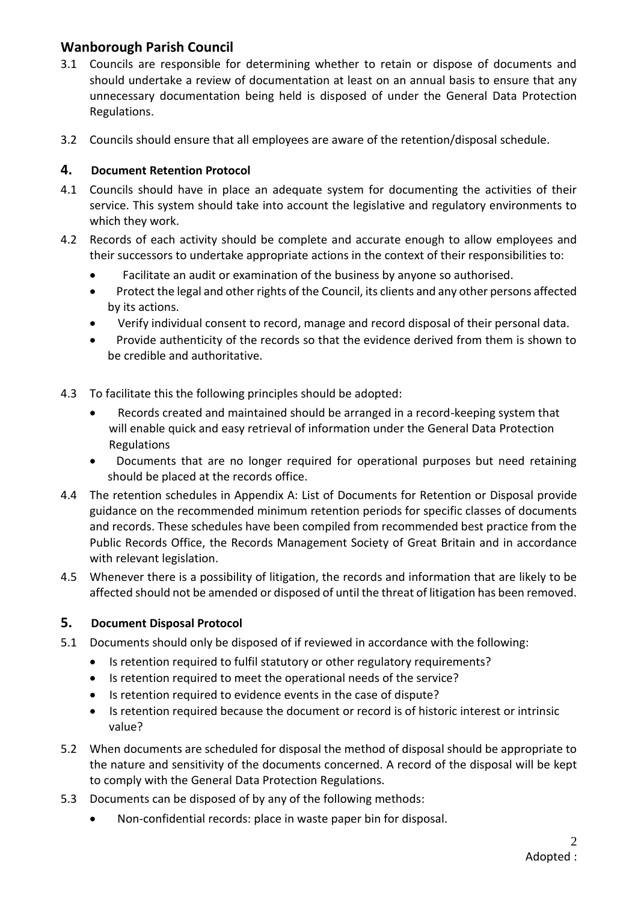# **Wanborough Parish Council**

- 3.1 Councils are responsible for determining whether to retain or dispose of documents and should undertake a review of documentation at least on an annual basis to ensure that any unnecessary documentation being held is disposed of under the General Data Protection Regulations.
- 3.2 Councils should ensure that all employees are aware of the retention/disposal schedule.

#### **4. Document Retention Protocol**

- 4.1 Councils should have in place an adequate system for documenting the activities of their service. This system should take into account the legislative and regulatory environments to which they work.
- 4.2 Records of each activity should be complete and accurate enough to allow employees and their successors to undertake appropriate actions in the context of their responsibilities to:
	- Facilitate an audit or examination of the business by anyone so authorised.
	- Protect the legal and other rights of the Council, its clients and any other persons affected by its actions.
	- Verify individual consent to record, manage and record disposal of their personal data.
	- Provide authenticity of the records so that the evidence derived from them is shown to be credible and authoritative.
- 4.3 To facilitate this the following principles should be adopted:
	- Records created and maintained should be arranged in a record-keeping system that will enable quick and easy retrieval of information under the General Data Protection Regulations
	- Documents that are no longer required for operational purposes but need retaining should be placed at the records office.
- 4.4 The retention schedules in Appendix A: List of Documents for Retention or Disposal provide guidance on the recommended minimum retention periods for specific classes of documents and records. These schedules have been compiled from recommended best practice from the Public Records Office, the Records Management Society of Great Britain and in accordance with relevant legislation.
- 4.5 Whenever there is a possibility of litigation, the records and information that are likely to be affected should not be amended or disposed of until the threat of litigation has been removed.

### **5. Document Disposal Protocol**

- 5.1 Documents should only be disposed of if reviewed in accordance with the following:
	- Is retention required to fulfil statutory or other regulatory requirements?
	- Is retention required to meet the operational needs of the service?
	- Is retention required to evidence events in the case of dispute?
	- Is retention required because the document or record is of historic interest or intrinsic value?
- 5.2 When documents are scheduled for disposal the method of disposal should be appropriate to the nature and sensitivity of the documents concerned. A record of the disposal will be kept to comply with the General Data Protection Regulations.
- 5.3 Documents can be disposed of by any of the following methods:
	- Non-confidential records: place in waste paper bin for disposal.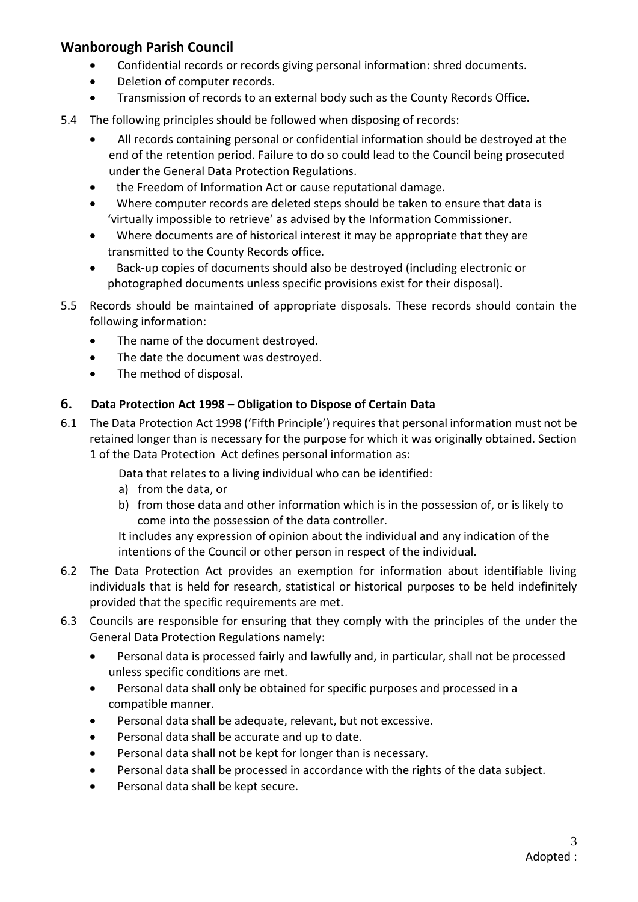# **Wanborough Parish Council**

- Confidential records or records giving personal information: shred documents.
- Deletion of computer records.
- Transmission of records to an external body such as the County Records Office.
- 5.4 The following principles should be followed when disposing of records:
	- All records containing personal or confidential information should be destroyed at the end of the retention period. Failure to do so could lead to the Council being prosecuted under the General Data Protection Regulations.
	- the Freedom of Information Act or cause reputational damage.
	- Where computer records are deleted steps should be taken to ensure that data is 'virtually impossible to retrieve' as advised by the Information Commissioner.
	- Where documents are of historical interest it may be appropriate that they are transmitted to the County Records office.
	- Back-up copies of documents should also be destroyed (including electronic or photographed documents unless specific provisions exist for their disposal).
- 5.5 Records should be maintained of appropriate disposals. These records should contain the following information:
	- The name of the document destroyed.
	- The date the document was destroyed.
	- The method of disposal.

#### **6. Data Protection Act 1998 – Obligation to Dispose of Certain Data**

6.1 The Data Protection Act 1998 ('Fifth Principle') requires that personal information must not be retained longer than is necessary for the purpose for which it was originally obtained. Section 1 of the Data Protection Act defines personal information as:

Data that relates to a living individual who can be identified:

- a) from the data, or
- b) from those data and other information which is in the possession of, or is likely to come into the possession of the data controller.

It includes any expression of opinion about the individual and any indication of the intentions of the Council or other person in respect of the individual.

- 6.2 The Data Protection Act provides an exemption for information about identifiable living individuals that is held for research, statistical or historical purposes to be held indefinitely provided that the specific requirements are met.
- 6.3 Councils are responsible for ensuring that they comply with the principles of the under the General Data Protection Regulations namely:
	- Personal data is processed fairly and lawfully and, in particular, shall not be processed unless specific conditions are met.
	- Personal data shall only be obtained for specific purposes and processed in a compatible manner.
	- Personal data shall be adequate, relevant, but not excessive.
	- Personal data shall be accurate and up to date.
	- Personal data shall not be kept for longer than is necessary.
	- Personal data shall be processed in accordance with the rights of the data subject.
	- Personal data shall be kept secure.